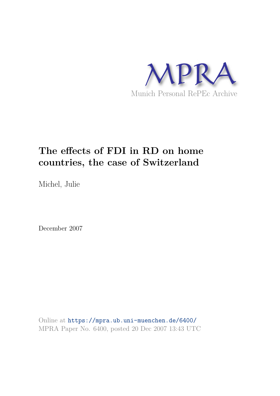

# **The effects of FDI in RD on home countries, the case of Switzerland**

Michel, Julie

December 2007

Online at https://mpra.ub.uni-muenchen.de/6400/ MPRA Paper No. 6400, posted 20 Dec 2007 13:43 UTC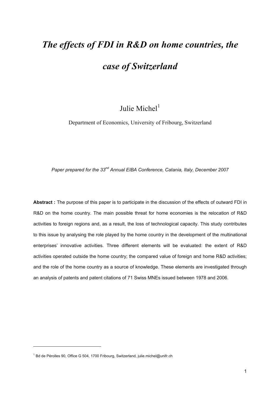## *The effects of FDI in R&D on home countries, the*

## *case of Switzerland*

### Julie Michel $<sup>1</sup>$ </sup>

Department of Economics, University of Fribourg, Switzerland

*Paper prepared for the 33nd Annual EIBA Conference, Catania, Italy, December 2007*

**Abstract :** The purpose of this paper is to participate in the discussion of the effects of outward FDI in R&D on the home country. The main possible threat for home economies is the relocation of R&D activities to foreign regions and, as a result, the loss of technological capacity. This study contributes to this issue by analysing the role played by the home country in the development of the multinational enterprises' innovative activities. Three different elements will be evaluated: the extent of R&D activities operated outside the home country; the compared value of foreign and home R&D activities; and the role of the home country as a source of knowledge. These elements are investigated through an analysis of patents and patent citations of 71 Swiss MNEs issued between 1978 and 2006.

-

<sup>&</sup>lt;sup>1</sup> Bd de Pérolles 90, Office G 504, 1700 Fribourg, Switzerland, julie.michel@unifr.ch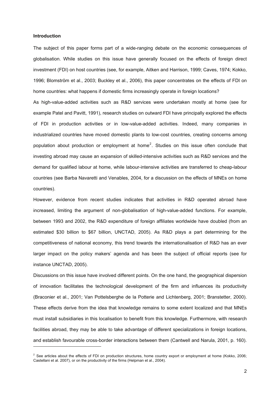#### **Introduction**

 $\overline{a}$ 

The subject of this paper forms part of a wide-ranging debate on the economic consequences of globalisation. While studies on this issue have generally focused on the effects of foreign direct investment (FDI) on host countries (see, for example, Aitken and Harrison, 1999; Caves, 1974; Kokko, 1996; Blomström et al., 2003; Buckley et al., 2006), this paper concentrates on the effects of FDI on home countries: what happens if domestic firms increasingly operate in foreign locations?

As high-value-added activities such as R&D services were undertaken mostly at home (see for example Patel and Pavitt, 1991), research studies on outward FDI have principally explored the effects of FDI in production activities or in low-value-added activities. Indeed, many companies in industrialized countries have moved domestic plants to low-cost countries, creating concerns among population about production or employment at home<sup>2</sup>. Studies on this issue often conclude that investing abroad may cause an expansion of skilled-intensive activities such as R&D services and the demand for qualified labour at home, while labour-intensive activities are transferred to cheap-labour countries (see Barba Navaretti and Venables, 2004, for a discussion on the effects of MNEs on home countries).

However, evidence from recent studies indicates that activities in R&D operated abroad have increased, limiting the argument of non-globalisation of high-value-added functions. For example, between 1993 and 2002, the R&D expenditure of foreign affiliates worldwide have doubled (from an estimated \$30 billion to \$67 billion, UNCTAD, 2005). As R&D plays a part determining for the competitiveness of national economy, this trend towards the internationalisation of R&D has an ever larger impact on the policy makers' agenda and has been the subject of official reports (see for instance UNCTAD, 2005).

Discussions on this issue have involved different points. On the one hand, the geographical dispersion of innovation facilitates the technological development of the firm and influences its productivity (Braconier et al., 2001; Van Pottelsberghe de la Potterie and Lichtenberg, 2001; Branstetter, 2000). These effects derive from the idea that knowledge remains to some extent localized and that MNEs must install subsidiaries in this localisation to benefit from this knowledge. Furthermore, with research facilities abroad, they may be able to take advantage of different specializations in foreign locations, and establish favourable cross-border interactions between them (Cantwell and Narula, 2001, p. 160).

<sup>&</sup>lt;sup>2</sup> See articles about the effects of FDI on production structures, home country export or employment at home (Kokko, 2006; Castellani et al. 2007), or on the productivity of the firms (Helpman et al., 2004).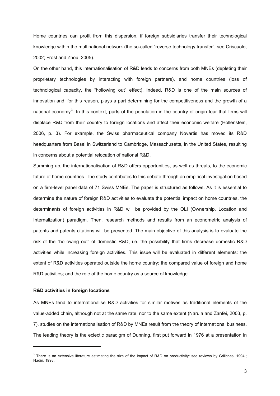Home countries can profit from this dispersion, if foreign subsidiaries transfer their technological knowledge within the multinational network (the so-called "reverse technology transfer", see Criscuolo, 2002; Frost and Zhou, 2005).

On the other hand, this internationalisation of R&D leads to concerns from both MNEs (depleting their proprietary technologies by interacting with foreign partners), and home countries (loss of technological capacity, the "hollowing out" effect). Indeed, R&D is one of the main sources of innovation and, for this reason, plays a part determining for the competitiveness and the growth of a national economy<sup>3</sup>. In this context, parts of the population in the country of origin fear that firms will displace R&D from their country to foreign locations and affect their economic welfare (Hollenstein, 2006, p. 3). For example, the Swiss pharmaceutical company Novartis has moved its R&D headquarters from Basel in Switzerland to Cambridge, Massachusetts, in the United States, resulting in concerns about a potential relocation of national R&D.

Summing up, the internationalisation of R&D offers opportunities, as well as threats, to the economic future of home countries. The study contributes to this debate through an empirical investigation based on a firm-level panel data of 71 Swiss MNEs. The paper is structured as follows. As it is essential to determine the nature of foreign R&D activities to evaluate the potential impact on home countries, the determinants of foreign activities in R&D will be provided by the OLI (Ownership, Location and Internalization) paradigm. Then, research methods and results from an econometric analysis of patents and patents citations will be presented. The main objective of this analysis is to evaluate the risk of the "hollowing out" of domestic R&D, i.e. the possibility that firms decrease domestic R&D activities while increasing foreign activities. This issue will be evaluated in different elements: the extent of R&D activities operated outside the home country; the compared value of foreign and home R&D activities; and the role of the home country as a source of knowledge.

#### **R&D activities in foreign locations**

 $\overline{a}$ 

As MNEs tend to internationalise R&D activities for similar motives as traditional elements of the value-added chain, although not at the same rate, nor to the same extent (Narula and Zanfei, 2003, p. 7), studies on the internationalisation of R&D by MNEs result from the theory of international business. The leading theory is the eclectic paradigm of Dunning, first put forward in 1976 at a presentation in

 $3$  There is an extensive literature estimating the size of the impact of R&D on productivity: see reviews by Griliches, 1994; Nadiri, 1993.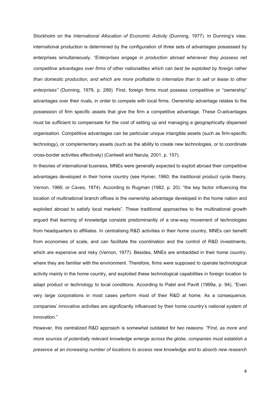Stockholm on the *International Allocation of Economic Activity* (Dunning, 1977). In Dunning's view, international production is determined by the configuration of three sets of advantages possessed by enterprises simultaneously. *"Enterprises engage in production abroad whenever they possess net competitive advantages over firms of other nationalities which can best be exploited by foreign rather than domestic production, and which are more profitable to internalize than to sell or lease to other enterprises"* (Dunning, 1979, p. 289). First, foreign firms must possess competitive or "ownership" advantages over their rivals, in order to compete with local firms. Ownership advantage relates to the possession of firm specific assets that give the firm a competitive advantage. These O-advantages must be sufficient to compensate for the cost of setting up and managing a geographically dispersed organisation. Competitive advantages can be particular unique intangible assets (such as firm-specific technology), or complementary assets (such as the ability to create new technologies, or to coordinate cross-border activities effectively) (Cantwell and Narula, 2001, p. 157).

In theories of international business, MNEs were generally expected to exploit abroad their competitive advantages developed in their home country (see Hymer, 1960; the traditional product cycle theory, Vernon, 1966; or Caves, 1974). According to Rugman (1982, p. 20): "the key factor influencing the location of multinational branch offices is the ownership advantage developed in the home nation and exploited abroad to satisfy local markets". These traditional approaches to the multinational growth argued that learning of knowledge consists predominantly of a one-way movement of technologies from headquarters to affiliates. In centralising R&D activities in their home country, MNEs can benefit from economies of scale, and can facilitate the coordination and the control of R&D investments, which are expensive and risky (Vernon, 1977). Besides, MNEs are embedded in their home country, where they are familiar with the environment. Therefore, firms were supposed to operate technological activity mainly in the home country, and exploited these technological capabilities in foreign location to adapt product or technology to local conditions. According to Patel and Pavitt (1999a, p. 94), "Even very large corporations in most cases perform most of their R&D at home. As a consequence, companies' innovative activities are significantly influenced by their home country's national system of innovation."

However, this centralized R&D approach is somewhat outdated for two reasons: *"First, as more and more sources of potentially relevant knowledge emerge across the globe, companies must establish a presence at an increasing number of locations to access new knowledge and to absorb new research*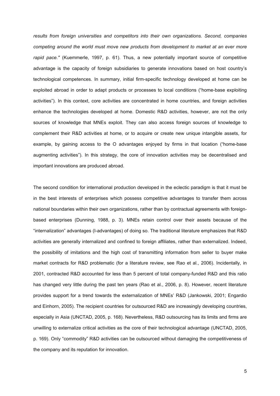*results from foreign universities and competitors into their own organizations. Second, companies competing around the world must move new products from development to market at an ever more rapid pace."* (Kuemmerle, 1997, p. 61). Thus, a new potentially important source of competitive advantage is the capacity of foreign subsidiaries to generate innovations based on host country's technological competences. In summary, initial firm-specific technology developed at home can be exploited abroad in order to adapt products or processes to local conditions ("home-base exploiting activities"). In this context, core activities are concentrated in home countries, and foreign activities enhance the technologies developed at home. Domestic R&D activities, however, are not the only sources of knowledge that MNEs exploit. They can also access foreign sources of knowledge to complement their R&D activities at home, or to acquire or create new unique intangible assets, for example, by gaining access to the O advantages enjoyed by firms in that location ("home-base augmenting activities"). In this strategy, the core of innovation activities may be decentralised and important innovations are produced abroad.

The second condition for international production developed in the eclectic paradigm is that it must be in the best interests of enterprises which possess competitive advantages to transfer them across national boundaries within their own organizations, rather than by contractual agreements with foreignbased enterprises (Dunning, 1988, p. 3). MNEs retain control over their assets because of the "internalization" advantages (I-advantages) of doing so. The traditional literature emphasizes that R&D activities are generally internalized and confined to foreign affiliates, rather than externalized. Indeed, the possibility of imitations and the high cost of transmitting information from seller to buyer make market contracts for R&D problematic (for a literature review, see Rao et al., 2006). Incidentally, in 2001, contracted R&D accounted for less than 5 percent of total company-funded R&D and this ratio has changed very little during the past ten years (Rao et al., 2006, p. 8). However, recent literature provides support for a trend towards the externalization of MNEs' R&D (Jankowski, 2001; Engardio and Einhorn, 2005). The recipient countries for outsourced R&D are increasingly developing countries, especially in Asia (UNCTAD, 2005, p. 168). Nevertheless, R&D outsourcing has its limits and firms are unwilling to externalize critical activities as the core of their technological advantage (UNCTAD, 2005, p. 169). Only "commodity" R&D activities can be outsourced without damaging the competitiveness of the company and its reputation for innovation.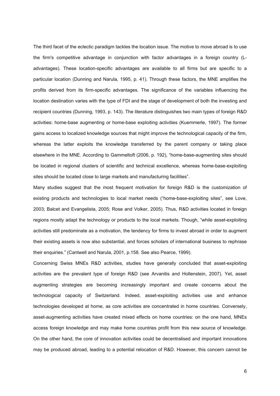The third facet of the eclectic paradigm tackles the location issue. The motive to move abroad is to use the firm's competitive advantage in conjunction with factor advantages in a foreign country (Ladvantages). These location-specific advantages are available to all firms but are specific to a particular location (Dunning and Narula, 1995, p. 41). Through these factors, the MNE amplifies the profits derived from its firm-specific advantages. The significance of the variables influencing the location destination varies with the type of FDI and the stage of development of both the investing and recipient countries (Dunning, 1993, p. 143). The literature distinguishes two main types of foreign R&D activities: home-base augmenting or home-base exploiting activities (Kuemmerle, 1997). The former gains access to localized knowledge sources that might improve the technological capacity of the firm, whereas the latter exploits the knowledge transferred by the parent company or taking place elsewhere in the MNE. According to Gammeltoft (2006, p. 192), "home-base-augmenting sites should be located in regional clusters of scientific and technical excellence, whereas home-base-exploiting sites should be located close to large markets and manufacturing facilities".

Many studies suggest that the most frequent motivation for foreign R&D is the customization of existing products and technologies to local market needs ("home-base-exploiting sites", see Love, 2003; Balcet and Evangelista, 2005; Rose and Volker, 2005). Thus, R&D activities located in foreign regions mostly adapt the technology or products to the local markets. Though, "while asset-exploiting activities still predominate as a motivation, the tendency for firms to invest abroad in order to augment their existing assets is now also substantial, and forces scholars of international business to rephrase their enquiries." (Cantwell and Narula, 2001, p.158. See also Pearce, 1999).

Concerning Swiss MNEs R&D activities, studies have generally concluded that asset-exploiting activities are the prevalent type of foreign R&D (see Arvanitis and Hollenstein, 2007). Yet, asset augmenting strategies are becoming increasingly important and create concerns about the technological capacity of Switzerland. Indeed, asset-exploiting activities use and enhance technologies developed at home, as core activities are concentrated in home countries. Conversely, asset-augmenting activities have created mixed effects on home countries: on the one hand, MNEs access foreign knowledge and may make home countries profit from this new source of knowledge. On the other hand, the core of innovation activities could be decentralised and important innovations may be produced abroad, leading to a potential relocation of R&D. However, this concern cannot be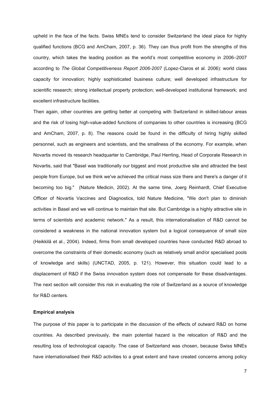upheld in the face of the facts. Swiss MNEs tend to consider Switzerland the ideal place for highly qualified functions (BCG and AmCham, 2007, p. 36). They can thus profit from the strengths of this country, which takes the leading position as the world's most competitive economy in 2006–2007 according to *The Global Competitiveness Report 2006-2007* (Lopez-Claros et al. 2006): world class capacity for innovation; highly sophisticated business culture; well developed infrastructure for scientific research; strong intellectual property protection; well-developed institutional framework; and excellent infrastructure facilities.

Then again, other countries are getting better at competing with Switzerland in skilled-labour areas and the risk of losing high-value-added functions of companies to other countries is increasing (BCG and AmCham, 2007, p. 8). The reasons could be found in the difficulty of hiring highly skilled personnel, such as engineers and scientists, and the smallness of the economy. For example, when Novartis moved its research headquarter to Cambridge, Paul Herrling, Head of Corporate Research in Novartis, said that "Basel was traditionally our biggest and most productive site and attracted the best people from Europe, but we think we've achieved the critical mass size there and there's a danger of it becoming too big." (Nature Medicin, 2002). At the same time, Joerg Reinhardt, Chief Executive Officer of Novartis Vaccines and Diagnostics, told Nature Medicine, "We don't plan to diminish activities in Basel and we will continue to maintain that site. But Cambridge is a highly attractive site in terms of scientists and academic network." As a result, this internationalisation of R&D cannot be considered a weakness in the national innovation system but a logical consequence of small size (Heikkilä et al., 2004). Indeed, firms from small developed countries have conducted R&D abroad to overcome the constraints of their domestic economy (such as relatively small and/or specialised pools of knowledge and skills) (UNCTAD, 2005, p. 121). However, this situation could lead to a displacement of R&D if the Swiss innovation system does not compensate for these disadvantages. The next section will consider this risk in evaluating the role of Switzerland as a source of knowledge for R&D centers.

#### **Empirical analysis**

The purpose of this paper is to participate in the discussion of the effects of outward R&D on home countries. As described previously, the main potential hazard is the relocation of R&D and the resulting loss of technological capacity. The case of Switzerland was chosen, because Swiss MNEs have internationalised their R&D activities to a great extent and have created concerns among policy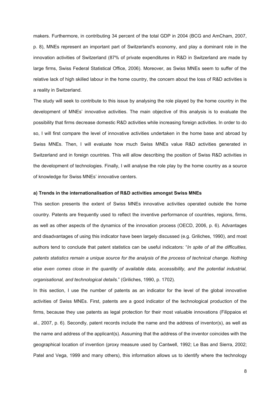makers. Furthermore, in contributing 34 percent of the total GDP in 2004 (BCG and AmCham, 2007, p. 8), MNEs represent an important part of Switzerland's economy, and play a dominant role in the innovation activities of Switzerland (87% of private expenditures in R&D in Switzerland are made by large firms, Swiss Federal Statistical Office, 2006). Moreover, as Swiss MNEs seem to suffer of the relative lack of high skilled labour in the home country, the concern about the loss of R&D activities is a reality in Switzerland.

The study will seek to contribute to this issue by analysing the role played by the home country in the development of MNEs' innovative activities. The main objective of this analysis is to evaluate the possibility that firms decrease domestic R&D activities while increasing foreign activities. In order to do so, I will first compare the level of innovative activities undertaken in the home base and abroad by Swiss MNEs. Then, I will evaluate how much Swiss MNEs value R&D activities generated in Switzerland and in foreign countries. This will allow describing the position of Swiss R&D activities in the development of technologies. Finally, I will analyse the role play by the home country as a source of knowledge for Swiss MNEs' innovative centers.

#### **a) Trends in the internationalisation of R&D activities amongst Swiss MNEs**

This section presents the extent of Swiss MNEs innovative activities operated outside the home country. Patents are frequently used to reflect the inventive performance of countries, regions, firms, as well as other aspects of the dynamics of the innovation process (OECD, 2006, p. 6). Advantages and disadvantages of using this indicator have been largely discussed (e.g. Griliches, 1990), and most authors tend to conclude that patent statistics can be useful indicators: "*In spite of all the difficulties, patents statistics remain a unique source for the analysis of the process of technical change. Nothing else even comes close in the quantity of available data, accessibility, and the potential industrial, organisational, and technological details.*" (Griliches, 1990, p. 1702).

In this section, I use the number of patents as an indicator for the level of the global innovative activities of Swiss MNEs. First, patents are a good indicator of the technological production of the firms, because they use patents as legal protection for their most valuable innovations (Filippaios et al., 2007, p. 6). Secondly, patent records include the name and the address of inventor(s), as well as the name and address of the applicant(s). Assuming that the address of the inventor coincides with the geographical location of invention (proxy measure used by Cantwell, 1992; Le Bas and Sierra, 2002; Patel and Vega, 1999 and many others), this information allows us to identify where the technology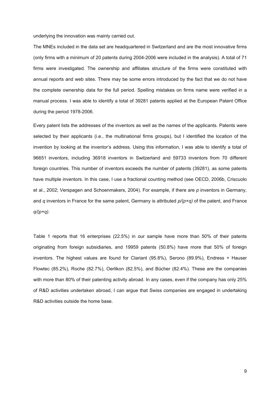underlying the innovation was mainly carried out.

The MNEs included in the data set are headquartered in Switzerland and are the most innovative firms (only firms with a minimum of 20 patents during 2004-2006 were included in the analysis). A total of 71 firms were investigated. The ownership and affiliates structure of the firms were constituted with annual reports and web sites. There may be some errors introduced by the fact that we do not have the complete ownership data for the full period. Spelling mistakes on firms name were verified in a manual process. I was able to identify a total of 39281 patents applied at the European Patent Office during the period 1978-2006.

Every patent lists the addresses of the inventors as well as the names of the applicants. Patents were selected by their applicants (i.e., the multinational firms groups), but I identified the location of the invention by looking at the inventor's address. Using this information, I was able to identify a total of 96651 inventors, including 36918 inventors in Switzerland and 59733 inventors from 70 different foreign countries. This number of inventors exceeds the number of patents (39281), as some patents have multiple inventors. In this case, I use a fractional counting method (see OECD, 2006b, Criscuolo et al., 2002; Verspagen and Schoenmakers, 2004). For example, if there are *p* inventors in Germany, and *q* inventors in France for the same patent, Germany is attributed *p/(p+q)* of the patent, and France *q/(p+q)*.

Table 1 reports that 16 enterprises (22.5%) in our sample have more than 50% of their patents originating from foreign subsidiaries, and 19959 patents (50.8%) have more that 50% of foreign inventors. The highest values are found for Clariant (95.8%), Serono (89.9%), Endress + Hauser Flowtec (85.2%), Roche (82.7%), Oerlikon (82.5%), and Bücher (82.4%). These are the companies with more than 80% of their patenting activity abroad. In any cases, even if the company has only 25% of R&D activities undertaken abroad, I can argue that Swiss companies are engaged in undertaking R&D activities outside the home base.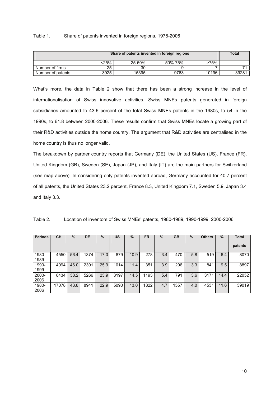#### Table 1. Share of patents invented in foreign regions, 1978-2006

|                   | Share of patents invented in foreign regions | Total  |         |       |       |
|-------------------|----------------------------------------------|--------|---------|-------|-------|
|                   | <25%                                         | 25-50% | 50%-75% | >75%  |       |
| Number of firms   | 25                                           | 30     |         |       |       |
| Number of patents | 3925                                         | 15395  | 9763    | 10196 | 39281 |

What's more, the data in Table 2 show that there has been a strong increase in the level of internationalisation of Swiss innovative activities. Swiss MNEs patents generated in foreign subsidiaries amounted to 43.6 percent of the total Swiss MNEs patents in the 1980s, to 54 in the 1990s, to 61.8 between 2000-2006. These results confirm that Swiss MNEs locate a growing part of their R&D activities outside the home country. The argument that R&D activities are centralised in the home country is thus no longer valid.

The breakdown by partner country reports that Germany (DE), the United States (US), France (FR), United Kingdom (GB), Sweden (SE), Japan (JP), and Italy (IT) are the main partners for Switzerland (see map above). In considering only patents invented abroad, Germany accounted for 40.7 percent of all patents, the United States 23.2 percent, France 8.3, United Kingdom 7.1, Sweden 5.9, Japan 3.4 and Italy 3.3.

| <b>Periods</b>   | CН    | $\%$ | DE   | $\%$ | US   | $\%$ | <b>FR</b> | %   | GB   | %   | <b>Others</b> | $\%$ | Total   |
|------------------|-------|------|------|------|------|------|-----------|-----|------|-----|---------------|------|---------|
|                  |       |      |      |      |      |      |           |     |      |     |               |      | patents |
| $1980 -$<br>1989 | 4550  | 56.4 | 1374 | 17.0 | 879  | 10.9 | 278       | 3.4 | 470  | 5.8 | 519           | 6.4  | 8070    |
| 1990-<br>1999    | 4094  | 46.0 | 2301 | 25.9 | 1014 | 11.4 | 351       | 3.9 | 296  | 3.3 | 841           | 9.5  | 8897    |
| 2000-<br>2006    | 8434  | 38.2 | 5266 | 23.9 | 3197 | 14.5 | 1193      | 5.4 | 791  | 3.6 | 3171          | 14.4 | 22052   |
| 1980-<br>2006    | 17078 | 43.8 | 8941 | 22.9 | 5090 | 13.0 | 1822      | 4.7 | 1557 | 4.0 | 453           | 11.6 | 39019   |

Table 2. Location of inventors of Swiss MNEs' patents, 1980-1989, 1990-1999, 2000-2006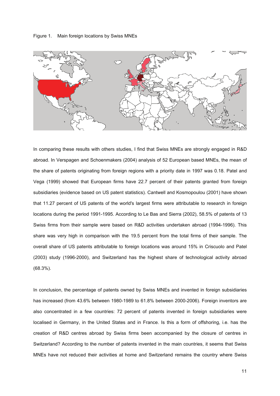Figure 1. Main foreign locations by Swiss MNEs



In comparing these results with others studies, I find that Swiss MNEs are strongly engaged in R&D abroad. In Verspagen and Schoenmakers (2004) analysis of 52 European based MNEs, the mean of the share of patents originating from foreign regions with a priority date in 1997 was 0.18. Patel and Vega (1999) showed that European firms have 22.7 percent of their patents granted from foreign subsidiaries (evidence based on US patent statistics). Cantwell and Kosmopoulou (2001) have shown that 11.27 percent of US patents of the world's largest firms were attributable to research in foreign locations during the period 1991-1995. According to Le Bas and Sierra (2002), 58.5% of patents of 13 Swiss firms from their sample were based on R&D activities undertaken abroad (1994-1996). This share was very high in comparison with the 19.5 percent from the total firms of their sample. The overall share of US patents attributable to foreign locations was around 15% in Criscuolo and Patel (2003) study (1996-2000), and Switzerland has the highest share of technological activity abroad (68.3%).

In conclusion, the percentage of patents owned by Swiss MNEs and invented in foreign subsidiaries has increased (from 43.6% between 1980-1989 to 61.8% between 2000-2006). Foreign inventors are also concentrated in a few countries: 72 percent of patents invented in foreign subsidiaries were localised in Germany, in the United States and in France. Is this a form of offshoring, i.e. has the creation of R&D centres abroad by Swiss firms been accompanied by the closure of centres in Switzerland? According to the number of patents invented in the main countries, it seems that Swiss MNEs have not reduced their activities at home and Switzerland remains the country where Swiss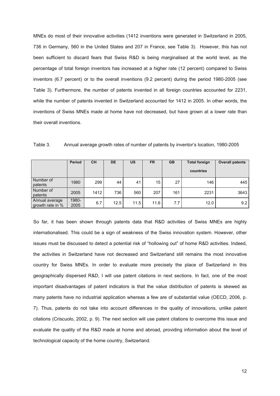MNEs do most of their innovative activities (1412 inventions were generated in Switzerland in 2005, 736 in Germany, 560 in the United States and 207 in France, see Table 3). However, this has not been sufficient to discard fears that Swiss R&D is being marginalised at the world level, as the percentage of total foreign inventors has increased at a higher rate (12 percent) compared to Swiss inventors (6.7 percent) or to the overall inventions (9.2 percent) during the period 1980-2005 (see Table 3). Furthermore, the number of patents invented in all foreign countries accounted for 2231, while the number of patents invented in Switzerland accounted for 1412 in 2005. In other words, the inventions of Swiss MNEs made at home have not decreased, but have grown at a lower rate than their overall inventions.

|                                    | <b>Period</b> | <b>CH</b> | <b>DE</b> | <b>US</b> | <b>FR</b>       | <b>GB</b> | <b>Total foreign</b><br>countries | <b>Overall patents</b> |  |
|------------------------------------|---------------|-----------|-----------|-----------|-----------------|-----------|-----------------------------------|------------------------|--|
| Number of<br>patents               | 1980          | 299       | 44        | 41        | 15 <sub>1</sub> | 27        | 146                               | 445                    |  |
| Number of<br>patents               | 2005          | 1412      | 736       | 560       | 207             | 161       | 2231                              | 3643                   |  |
| Annual average<br>growth rate in % | 1980-<br>2005 | 6.7       | 12.5      | 11.5      | 11.6            | 7.7       | 12.0                              | 9.2                    |  |

Table 3. Annual average growth rates of number of patents by inventor's location, 1980-2005

So far, it has been shown through patents data that R&D activities of Swiss MNEs are highly internationalised. This could be a sign of weakness of the Swiss innovation system. However, other issues must be discussed to detect a potential risk of "hollowing out" of home R&D activities. Indeed, the activities in Switzerland have not decreased and Switzerland still remains the most innovative country for Swiss MNEs. In order to evaluate more precisely the place of Switzerland in this geographically dispersed R&D, I will use patent citations in next sections. In fact, one of the most important disadvantages of patent indicators is that the value distribution of patents is skewed as many patents have no industrial application whereas a few are of substantial value (OECD, 2006, p. 7). Thus, patents do not take into account differences in the quality of innovations, unlike patent citations (Criscuolo, 2002, p. 9). The next section will use patent citations to overcome this issue and evaluate the quality of the R&D made at home and abroad, providing information about the level of technological capacity of the home country, Switzerland.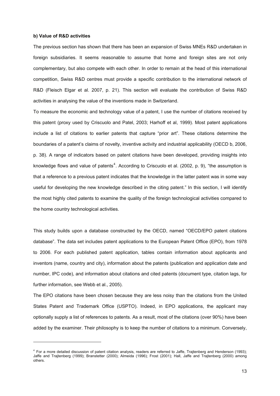#### **b) Value of R&D activities**

-

The previous section has shown that there has been an expansion of Swiss MNEs R&D undertaken in foreign subsidiaries. It seems reasonable to assume that home and foreign sites are not only complementary, but also compete with each other. In order to remain at the head of this international competition, Swiss R&D centres must provide a specific contribution to the international network of R&D (Fleisch Elgar et al. 2007, p. 21). This section will evaluate the contribution of Swiss R&D activities in analysing the value of the inventions made in Switzerland.

To measure the economic and technology value of a patent, I use the number of citations received by this patent (proxy used by Criscuolo and Patel, 2003; Harhoff et al, 1999). Most patent applications include a list of citations to earlier patents that capture "prior art". These citations determine the boundaries of a patent's claims of novelty, inventive activity and industrial applicability (OECD b, 2006, p. 38). A range of indicators based on patent citations have been developed, providing insights into knowledge flows and value of patents<sup>4</sup>. According to Criscuolo et al. (2002, p. 9), "the assumption is that a reference to a previous patent indicates that the knowledge in the latter patent was in some way useful for developing the new knowledge described in the citing patent." In this section, I will identify the most highly cited patents to examine the quality of the foreign technological activities compared to the home country technological activities.

This study builds upon a database constructed by the OECD, named "OECD/EPO patent citations database". The data set includes patent applications to the European Patent Office (EPO), from 1978 to 2006. For each published patent application, tables contain information about applicants and inventors (name, country and city), information about the patents (publication and application date and number, IPC code), and information about citations and cited patents (document type, citation lags, for further information, see Webb et al., 2005).

The EPO citations have been chosen because they are less noisy than the citations from the United States Patent and Trademark Office (USPTO). Indeed, in EPO applications, the applicant may optionally supply a list of references to patents. As a result, most of the citations (over 90%) have been added by the examiner. Their philosophy is to keep the number of citations to a minimum. Conversely,

<sup>4</sup> For a more detailed discussion of patent citation analysis, readers are referred to Jaffe, Trajtenberg and Henderson (1993); Jaffe and Trajtenberg (1999); Branstetter (2000); Almeida (1996); Frost (2001); Hall, Jaffe and Trajtenberg (2000) among others.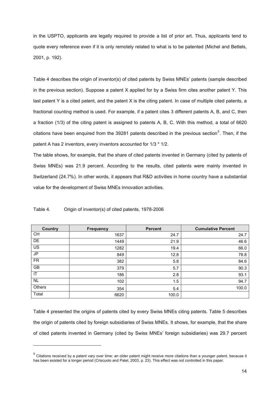in the USPTO, applicants are legally required to provide a list of prior art. Thus, applicants tend to quote every reference even if it is only remotely related to what is to be patented (Michel and Bettels, 2001, p. 192).

Table 4 describes the origin of inventor(s) of cited patents by Swiss MNEs' patents (sample described in the previous section). Suppose a patent X applied for by a Swiss firm cites another patent Y. This last patent Y is a cited patent, and the patent X is the citing patent. In case of multiple cited patents, a fractional counting method is used. For example, if a patent cites 3 different patents A, B, and C, then a fraction (1/3) of the citing patent is assigned to patents A, B, C. With this method, a total of 6620 citations have been enquired from the 39281 patents described in the previous section<sup>5</sup>. Then, if the patent A has 2 inventors, every inventors accounted for 1/3 \* 1/2.

The table shows, for example, that the share of cited patents invented in Germany (cited by patents of Swiss MNEs) was 21.9 percent. According to the results, cited patents were mainly invented in Switzerland (24.7%). In other words, it appears that R&D activities in home country have a substantial value for the development of Swiss MNEs innovation activities.

| Country   | <b>Frequency</b> | <b>Percent</b> | <b>Cumulative Percent</b> |
|-----------|------------------|----------------|---------------------------|
| <b>CH</b> | 1637             | 24.7           | 24.7                      |
| DE        | 1449             | 21.9           | 46.6                      |
| <b>US</b> | 1282             | 19.4           | 66.0                      |
| <b>JP</b> | 849              | 12.8           | 78.8                      |
| <b>FR</b> | 382              | 5.8            | 84.6                      |
| <b>GB</b> | 379              | 5.7            | 90.3                      |
| IT        | 186              | 2.8            | 93.1                      |
| <b>NL</b> | 102              | 1.5            | 94.7                      |
| Others    | 354              | 5.4            | 100.0                     |
| Total     | 6620             | 100.0          |                           |

Table 4. Origin of inventor(s) of cited patents, 1978-2006

-

Table 4 presented the origins of patents cited by every Swiss MNEs citing patents. Table 5 describes the origin of patents cited by foreign subsidiaries of Swiss MNEs. It shows, for example, that the share of cited patents invented in Germany (cited by Swiss MNEs' foreign subsidiaries) was 29.7 percent

<sup>&</sup>lt;sup>5</sup> Citations received by a patent vary over time: an older patent might receive more citations than a younger patent, because it has been existed for a longer period (Criscuolo and Patel, 2003, p. 23). This effect was not controlled in this paper.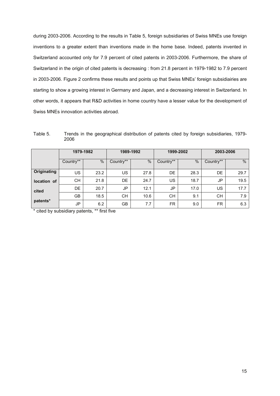during 2003-2006. According to the results in Table 5, foreign subsidiaries of Swiss MNEs use foreign inventions to a greater extent than inventions made in the home base. Indeed, patents invented in Switzerland accounted only for 7.9 percent of cited patents in 2003-2006. Furthermore, the share of Switzerland in the origin of cited patents is decreasing : from 21.8 percent in 1979-1982 to 7.9 percent in 2003-2006. Figure 2 confirms these results and points up that Swiss MNEs' foreign subsidiairies are starting to show a growing interest in Germany and Japan, and a decreasing interest in Switzerland. In other words, it appears that R&D activities in home country have a lesser value for the development of Swiss MNEs innovation activities abroad.

Table 5. Trends in the geographical distribution of patents cited by foreign subsidiaries, 1979- 2006

|                    | 1979-1982 |      | 1989-1992 |               | 1999-2002 |      | 2003-2006 |      |  |
|--------------------|-----------|------|-----------|---------------|-----------|------|-----------|------|--|
|                    | Country** | %    | Country** | $\frac{0}{0}$ | Country** | %    | Country** | $\%$ |  |
| <b>Originating</b> | US        | 23.2 | US        | 27.8          | DE        | 28.3 | DE        | 29.7 |  |
| location of        | <b>CH</b> | 21.8 | DE        | 24.7          | <b>US</b> | 18.7 | JP.       | 19.5 |  |
| cited              | DE        | 20.7 | JP        | 12.1          | JP        | 17.0 | <b>US</b> | 17.7 |  |
|                    | GB        | 18.5 | CН        | 10.6          | CН        | 9.1  | <b>CH</b> | 7.9  |  |
| patents*           | JP        | 6.2  | <b>GB</b> | 7.7           | <b>FR</b> | 9.0  | <b>FR</b> | 6.3  |  |

\* cited by subsidiary patents, \*\* first five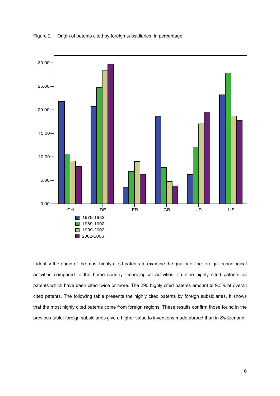Figure 2. Origin of patents cited by foreign subsidiaries, in percentage.



I identify the origin of the most highly cited patents to examine the quality of the foreign technological activities compared to the home country technological activities. I define highly cited patents as patents which have been cited twice or more. The 290 highly cited patents amount to 9.3% of overall cited patents. The following table presents the highly cited patents by foreign subsidiaries. It shows that the most highly cited patents come from foreign regions. These results confirm those found in the previous table: foreign subsidiaries give a higher value to inventions made abroad than in Switzerland.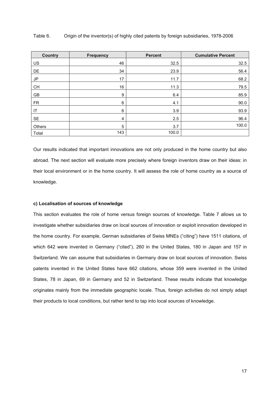| <b>Country</b> | <b>Frequency</b> | <b>Percent</b> | <b>Cumulative Percent</b> |
|----------------|------------------|----------------|---------------------------|
| US             | 46               | 32.5           | 32.5                      |
| DE             | 34               | 23.9           | 56.4                      |
| JP             | 17               | 11.7           | 68.2                      |
| <b>CH</b>      | 16               | 11.3           | 79.5                      |
| GB             | 9                | 6.4            | 85.9                      |
| <b>FR</b>      | 6                | 4.1            | 90.0                      |
| IT             | 6                | 3.9            | 93.9                      |
| <b>SE</b>      | 4                | 2.5            | 96.4                      |
| Others         | 5                | 3.7            | 100.0                     |
| Total          | 143              | 100.0          |                           |

Table 6. Origin of the inventor(s) of highly cited patents by foreign subsidiaries, 1978-2006

Our results indicated that important innovations are not only produced in the home country but also abroad. The next section will evaluate more precisely where foreign inventors draw on their ideas: in their local environment or in the home country. It will assess the role of home country as a source of knowledge.

#### **c) Localisation of sources of knowledge**

This section evaluates the role of home versus foreign sources of knowledge. Table 7 allows us to investigate whether subsidiaries draw on local sources of innovation or exploit innovation developed in the home country. For example, German subsidiaries of Swiss MNEs ("citing") have 1511 citations, of which 642 were invented in Germany ("cited"), 260 in the United States, 180 in Japan and 157 in Switzerland. We can assume that subsidiaries in Germany draw on local sources of innovation. Swiss patents invented in the United States have 662 citations, whose 359 were invented in the United States, 78 in Japan, 69 in Germany and 52 in Switzerland. These results indicate that knowledge originates mainly from the immediate geographic locale. Thus, foreign activities do not simply adapt their products to local conditions, but rather tend to tap into local sources of knowledge.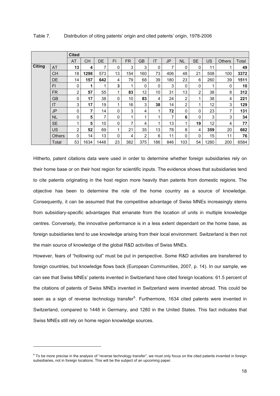| <b>Cited</b>  |               |                |           |      |              |     |                |     |           |                |                |           |               |       |
|---------------|---------------|----------------|-----------|------|--------------|-----|----------------|-----|-----------|----------------|----------------|-----------|---------------|-------|
|               |               | AT             | <b>CH</b> | DE   | FI           | FR. | <b>GB</b>      | IT  | <b>JP</b> | <b>NL</b>      | <b>SE</b>      | <b>US</b> | <b>Others</b> | Total |
| <b>Citing</b> | AT            | 13             | 4         | 7    | 0            | 3   | 3              | 0   | 7         | 0              | 0              | 11        | 1             | 49    |
|               | <b>CH</b>     | 18             | 1298      | 573  | 13           | 154 | 160            | 73  | 406       | 48             | 21             | 508       | 100           | 3372  |
|               | DE            | 14             | 157       | 642  | 4            | 79  | 68             | 39  | 180       | 23             | 6              | 260       | 39            | 1511  |
|               | FI            | 0              | 1         |      | 3            | 1   | 0              | 0   | 3         | 0              | 0              | 1         | 0             | 10    |
|               | <b>FR</b>     | $\overline{2}$ | 57        | 55   | 1            | 83  | 12             | 10  | 31        | 13             | $\overline{2}$ | 38        | 8             | 312   |
|               | <b>GB</b>     | 0              | 17        | 38   | $\mathbf 0$  | 10  | 83             | 4   | 24        | $\overline{2}$ |                | 38        | 4             | 221   |
|               | IT            | 3              | 17        | 19   | 1            | 16  | 3              | 38  | 14        | $\overline{2}$ |                | 12        | 3             | 129   |
|               | <b>JP</b>     | 0              | 7         | 14   | 0            | 3   | 4              | 1   | 72        | 0              | 0              | 23        | 7             | 131   |
|               | <b>NL</b>     | 0              | 5         | 7    | 0            | 1   | 1              |     | 7         | 6              | $\mathbf 0$    | 3         | 3             | 34    |
|               | <b>SE</b>     | 1              | 5         | 10   | 0            | 7   | 4              |     | 13        | 1              | 19             | 12        | 4             | 77    |
|               | <b>US</b>     | $\overline{2}$ | 52        | 69   | 1            | 21  | 35             | 13  | 78        | 8              | 4              | 359       | 20            | 662   |
|               | <b>Others</b> | 0              | 14        | 13   | $\mathbf{0}$ | 4   | $\overline{2}$ | 6   | 11        | 0              | 0              | 15        | 11            | 76    |
|               | Total         | 53             | 1634      | 1448 | 23           | 382 | 375            | 186 | 846       | 103            | 54             | 1280      | 200           | 6584  |

Hitherto, patent citations data were used in order to determine whether foreign subsidiaries rely on their home base or on their host region for scientific inputs. The evidence shows that subsidiaries tend to cite patents originating in the host region more heavily than patents from domestic regions. The objective has been to determine the role of the home country as a source of knowledge. Consequently, it can be assumed that the competitive advantage of Swiss MNEs increasingly stems from subsidiary-specific advantages that emanate from the location of units in multiple knowledge centres. Conversely, the innovative performance is in a less extent dependant on the home base, as foreign subsidiaries tend to use knowledge arising from their local environment. Switzerland is then not the main source of knowledge of the global R&D activities of Swiss MNEs.

However, fears of "hollowing out" must be put in perspective. Some R&D activities are transferred to foreign countries, but knowledge flows back (European Communities, 2007, p. 14). In our sample, we can see that Swiss MNEs' patents invented in Switzerland have cited foreign locations: 61.5 percent of the citations of patents of Swiss MNEs invented in Switzerland were invented abroad. This could be seen as a sign of reverse technology transfer<sup>6</sup>. Furthermore, 1634 cited patents were invented in Switzerland, compared to 1448 in Germany, and 1280 in the United States. This fact indicates that Swiss MNEs still rely on home region knowledge sources.

 $\overline{a}$ 

 $6$  To be more precise in the analysis of "reverse technology transfer", we must only focus on the cited patents invented in foreign subsidiaries, not in foreign locations. This will be the subject of an upcoming paper.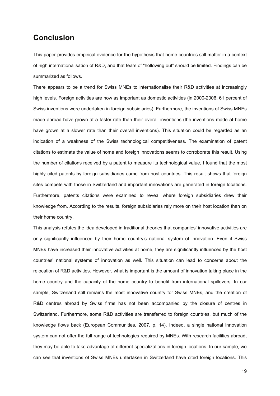### **Conclusion**

This paper provides empirical evidence for the hypothesis that home countries still matter in a context of high internationalisation of R&D, and that fears of "hollowing out" should be limited. Findings can be summarized as follows.

There appears to be a trend for Swiss MNEs to internationalise their R&D activities at increasingly high levels. Foreign activities are now as important as domestic activities (in 2000-2006, 61 percent of Swiss inventions were undertaken in foreign subsidiaries). Furthermore, the inventions of Swiss MNEs made abroad have grown at a faster rate than their overall inventions (the inventions made at home have grown at a slower rate than their overall inventions). This situation could be regarded as an indication of a weakness of the Swiss technological competitiveness. The examination of patent citations to estimate the value of home and foreign innovations seems to corroborate this result. Using the number of citations received by a patent to measure its technological value, I found that the most highly cited patents by foreign subsidiaries came from host countries. This result shows that foreign sites compete with those in Switzerland and important innovations are generated in foreign locations. Furthermore, patents citations were examined to reveal where foreign subsidiaries drew their knowledge from. According to the results, foreign subsidiaries rely more on their host location than on their home country.

This analysis refutes the idea developed in traditional theories that companies' innovative activities are only significantly influenced by their home country's national system of innovation. Even if Swiss MNEs have increased their innovative activities at home, they are significantly influenced by the host countries' national systems of innovation as well. This situation can lead to concerns about the relocation of R&D activities. However, what is important is the amount of innovation taking place in the home country and the capacity of the home country to benefit from international spillovers. In our sample, Switzerland still remains the most innovative country for Swiss MNEs, and the creation of R&D centres abroad by Swiss firms has not been accompanied by the closure of centres in Switzerland. Furthermore, some R&D activities are transferred to foreign countries, but much of the knowledge flows back (European Communities, 2007, p. 14). Indeed, a single national innovation system can not offer the full range of technologies required by MNEs. With research facilities abroad, they may be able to take advantage of different specializations in foreign locations. In our sample, we can see that inventions of Swiss MNEs untertaken in Switzerland have cited foreign locations. This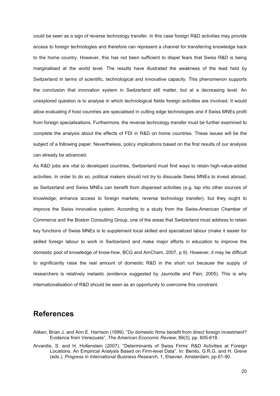could be seen as a sign of reverse technology transfer. In this case foreign R&D activities may provide access to foreign technologies and therefore can represent a channel for transferring knowledge back to the home country. However, this has not been sufficient to dispel fears that Swiss R&D is being marginalised at the world level. The results have illustrated the weakness of the lead held by Switzerland in terms of scientific, technological and innovative capacity. This phenomenon supports the conclusion that innovation system in Switzerland still matter, but at a decreasing level. An unexplored question is to analyse in which technological fields foreign activities are involved. It would allow evaluating if host countries are specialised in cutting edge technologies and if Swiss MNEs profit from foreign specialisations. Furthermore, the reverse technology transfer must be further examined to complete the analysis about the effects of FDI in R&D on home countries. These issues will be the subject of a following paper. Nevertheless, policy implications based on the first results of our analysis can already be advanced.

As R&D jobs are vital to developed countries, Switzerland must find ways to retain high-value-added activities. In order to do so, political makers should not try to dissuade Swiss MNEs to invest abroad, as Switzerland and Swiss MNEs can benefit from dispersed activities (e.g. tap into other sources of knowledge; enhance access to foreign markets; reverse technology transfer), but they ought to improve the Swiss innovative system. According to a study from the Swiss-American Chamber of Commerce and the Boston Consulting Group, one of the areas that Switzerland must address to retain key functions of Swiss MNEs is to supplement local skilled and specialized labour (make it easier for skilled foreign labour to work in Switzerland and make major efforts in education to improve the domestic pool of knowledge of know-how, BCG and AmCham, 2007, p 9). However, it may be difficult to significantly raise the real amount of domestic R&D in the short run because the supply of researchers is relatively inelastic (evidence suggested by Jaumotte and Pain, 2005). This is why internationalisation of R&D should be seen as an opportunity to overcome this constraint.

### **References**

- Aitken, Brian J. and Ann E. Harrison (1999). "Do domestic firms benefit from direct foreign investment? Evidence from Venezuela", *The American Economic Review*, 89(3), pp. 605-618.
- Arvanitis, S. and H. Hollenstein (2007). "Determinants of Swiss Firms' R&D Activities at Foreign Locations. An Empirical Analysis Based on Firm-level Data". In: Benito, G.R.G. and H. Greve (eds.), *Progress in International Business Research*, 1, Elsevier, Amsterdam, pp.61-90.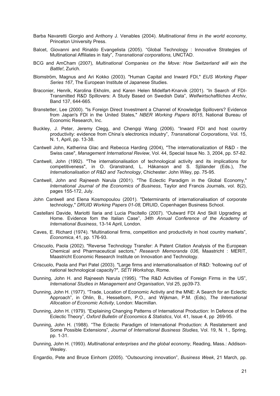- Barba Navaretti Giorgio and Anthony J. Venables (2004). *Multinational firms in the world economy,* Princeton University Press.
- Balcet, Giovanni and Rinaldo Evangelista (2005). "Global Technology : Innovative Strategies of Multinational Affiliates in Italy", *Transnational corporations,* UNCTAD.
- BCG and AmCham (2007), *Multinational Companies on the Move: How Switzerland will win the Battle!*, Zurich.
- Blomström, Magnus and Ari Kokko (2003). "Human Capital and Inward FDI," *EIJS Working Paper Series 167*, The European Institute of Japanese Studies.
- Braconier, Henrik, Karolina Ekholm, and Karen Helen Midelfart-Knarvik (2001). "In Search of FDI-Transmitted R&D Spillovers: A Study Based on Swedish Data", *Welfwirtschaftliches Archiv*, Band 137, 644-665.
- Branstetter, Lee (2000). "Is Foreign Direct Investment a Channel of Knowledge Spillovers? Evidence from Japan's FDI in the United States," *NBER Working Papers 8015*, National Bureau of Economic Research, Inc.
- Buckley, J. Peter, Jeremy Clegg, and Chengqi Wang (2006). "Inward FDI and host country productivity: evidence from China's electronics industry", *Transnational Corporations*, Vol. 15, N. 1, April, pp. 13-38.
- Cantwell John, Katherina Glac and Rebecca Harding (2004), "The internationalization of R&D the Swiss case", *Management International Review*, Vol. 44, Special Issue No. 3, 2004, pp. 57-82.
- Cantwell, John (1992). "The internationalisation of technological activity and its implications for competitiveness", in O. Granstrand, L. Håkanson and S. Sjölander (Eds.), *The Internationalisation of R&D and Technology*, Chichester: John Wiley, pp. 75-95.
- Cantwell, John and Rajneesh Narula (2001). "The Eclectic Paradigm in the Global Economy," *International Journal of the Economics of Business*, Taylor and Francis Journals, vol. 8(2), pages 155-172, July.
- John Cantwell and Elena Kosmopoulou (2001). "Determinants of internationalisation of corporate technology," *DRUID Working Papers 01-08,* DRUID, Copenhagen Business School.
- Castellani Davide, Mariotti Ilaria and Lucia Piscitello (2007). "Outward FDI And Skill Upgrading at Home. Evidence fom the Italian Case", *34th Annual Conference of the Academy of International Business*, 13-14 April, London.
- Caves, E. Richard (1974). "Multinational firms, competition and productivity in host country markets", *Economica*, 41, pp. 176-93.
- Criscuolo, Paola (2002). "Reverse Technology Transfer: A Patent Citation Analysis of the European Chemical and Pharmaceutical sectors," *Research Memoranda 036*, Maastricht : MERIT, Maastricht Economic Research Institute on Innovation and Technology.
- Criscuolo, Paola and Pari Patel (2003). "Large firms and internationalisation of R&D: 'hollowing out' of national technological capacity?", *SETI Workshop*, Rome.
- Dunning, John H. and Rajneesh Narula (1995). "The R&D Activities of Foreign Firms in the US", *International Studies in Management and Organisation*, Vol 25, pp39-73.
- Dunning, John H. (1977). "Trade, Location of Economic Activity and the MNE: A Search for an Eclectic Approach", in Ohlin, B., Hesselborn, P.O., and Wijkman, P.M. (Eds), *The International Allocation of Economic Activity*, London: Macmillan.
- Dunning, John H. (1979). "Explaining Changing Patterns of International Production: In Defence of the Eclectic Theory", *Oxford Bulletin of Economics & Statistics*, Vol. 41, Issue 4, pp 269-95.
- Dunning, John H. (1988). "The Eclectic Paradigm of International Production: A Restatement and Some Possible Extensions", *Journal of International Business Studies,* Vol. 19, N. 1., Spring, pp. 1-31.
- Dunning, John H. (1993). *Multinational enterprises and the global economy*, Reading, Mass.: Addison-Wesley.
- Engardio, Pete and Bruce Einhorn (2005). "Outsourcing innovation", *Business Week*, 21 March, pp.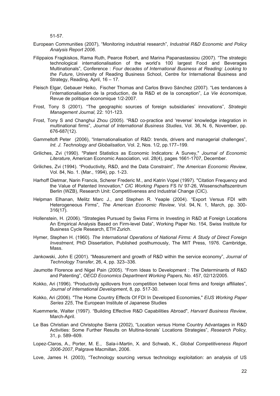51-57.

- European Communities (2007), "Monitoring industrial research", *Industrial R&D Economic and Policy Analysis Report 2006*.
- Filippaios Fragkiskos, Rama Ruth, Pearce Robert, and Marina Papanastassiou (2007). "The strategic technological internationalisation of the world's 100 largest Food and Beverages Multinationals", Conference : *Four decades of International Business at Reading: Looking to the Future*, University of Reading Business School, Centre for International Business and Strategy, Reading, April, 16 – 17.
- Fleisch Elgar, Gebauer Heiko, Fischer Thomas and Carlos Bravo Sánchez (2007). "Les tendances à l'internationalisation de la production, de la R&D et de la conception", *La Vie économique,*  Revue de politique économique 1/2-2007.
- Frost, Tony S (2001). "The geographic sources of foreign subsidiaries' innovations", *Strategic Management Journal,* 22: 101-123.
- Frost, Tony S and Changhui Zhou (2005). "R&D co-practice and 'reverse' knowledge integration in multinational firms", *Journal of International Business Studies*, Vol. 36, N. 6, November, pp. 676-687(12).
- Gammeltoft Peter (2006), "Internationalisation of R&D: trends, drivers and managerial challenges", *Int. J. Technology and Globalisation,* Vol. 2, Nos. 1/2, pp.177–199.
- Griliches, Zvi (1990). "Patent Statistics as Economic Indicators: A Survey," *Journal of Economic Literature*, American Economic Association, vol. 28(4), pages 1661-1707, December.
- Griliches, Zvi (1994). "Productivity, R&D, and the Data Constraint", *The American Economic Review*, Vol. 84, No. 1. (Mar., 1994), pp. 1-23.
- Harhoff Dietmar, Narin Francis, Scherer Frederic M., and Katrin Vopel (1997). "Citation Frequency and the Value of Patented Innovation," *CIC Working Papers* FS IV 97-26, Wissenschaftszentrum Berlin (WZB), Research Unit: Competitiveness and Industrial Change (CIC).
- Helpman Elhanan, Melitz Marc J., and Stephen R. Yeaple (2004). "Export Versus FDI with Heterogeneous Firms", *The American Economic Review*, Vol. 94, N. 1, March, pp. 300- 316(17).
- Hollenstein, H. (2006). "Strategies Pursued by Swiss Firms in Investing in R&D at Foreign Locations An Empirical Analysis Based on Firm-level Data", Working Paper No. 154, Swiss Institute for Business Cycle Research, ETH Zurich.
- Hymer, Stephen H. (1960). *The International Operations of National Firms: A Study of Direct Foreign Investment*, PhD Dissertation, Published posthumously, The MIT Press, 1976. Cambridge, Mass.
- Jankowski, John E (2001). "Measurement and growth of R&D within the service economy", *Journal of Technology Transfer*, 26, 4, pp. 323–336.
- Jaumotte Florence and Nigel Pain (2005). "From Ideas to Development : The Determinants of R&D and Patenting", *OECD Economics Department Working Papers*, No. 457, 02/12/2005.
- Kokko, Ari (1996). "Productivity spillovers from competition between local firms and foreign affiliates", *Journal of International Development*, 8, pp. 517-30.
- Kokko, Ari (2006). "The Home Country Effects Of FDI In Developed Economies," *EIJS Working Paper Series 225*, The European Institute of Japanese Studies
- Kuemmerle, Walter (1997). "Building Effective R&D Capabilities Abroad", *Harvard Business Review*, March-April.
- Le Bas Christian and Christophe Sierra (2002), "Location versus Home Country Advantages in R&D Activities: Some Further Results on Multina-tionals' Locations Strategies", *Research Policy,* 31, p. 589–609.
- Lopez-Claros, A., Porter, M. E., Sala-i-Martin, X. and Schwab, K., *Global Competitiveness Report 2006-2007*, Palgrave Macmillan, 2006.
- Love, James H. (2003), "Technology sourcing versus technology exploitation: an analysis of US